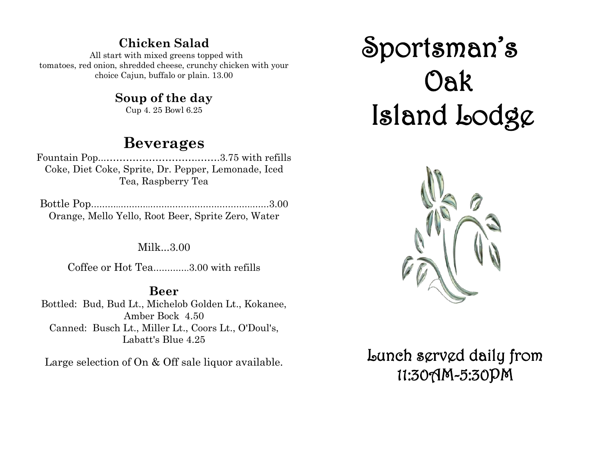# **Chicken Salad**

 All start with mixed greens topped with tomatoes, red onion, shredded cheese, crunchy chicken with your choice Cajun, buffalo or plain. 13.00

# **Soup of the day**

Cup 4. 25 Bowl 6.25

# **Beverages**

Fountain Pop...……………………….…….3.75 with refills Coke, Diet Coke, Sprite, Dr. Pepper, Lemonade, Iced Tea, Raspberry Tea

Bottle Pop………..………..……………………………….……3.00 Orange, Mello Yello, Root Beer, Sprite Zero, Water

#### Milk...3.00

Coffee or Hot Tea………….3.00 with refills

## **Beer**

Bottled: Bud, Bud Lt., Michelob Golden Lt., Kokanee, Amber Bock 4.50 Canned: Busch Lt., Miller Lt., Coors Lt., O'Doul's, Labatt's Blue 4.25

Large selection of On & Off sale liquor available.

# Sportsman's Oak Island Lodge



# Lunch served daily from 11:30AM-5:30PM